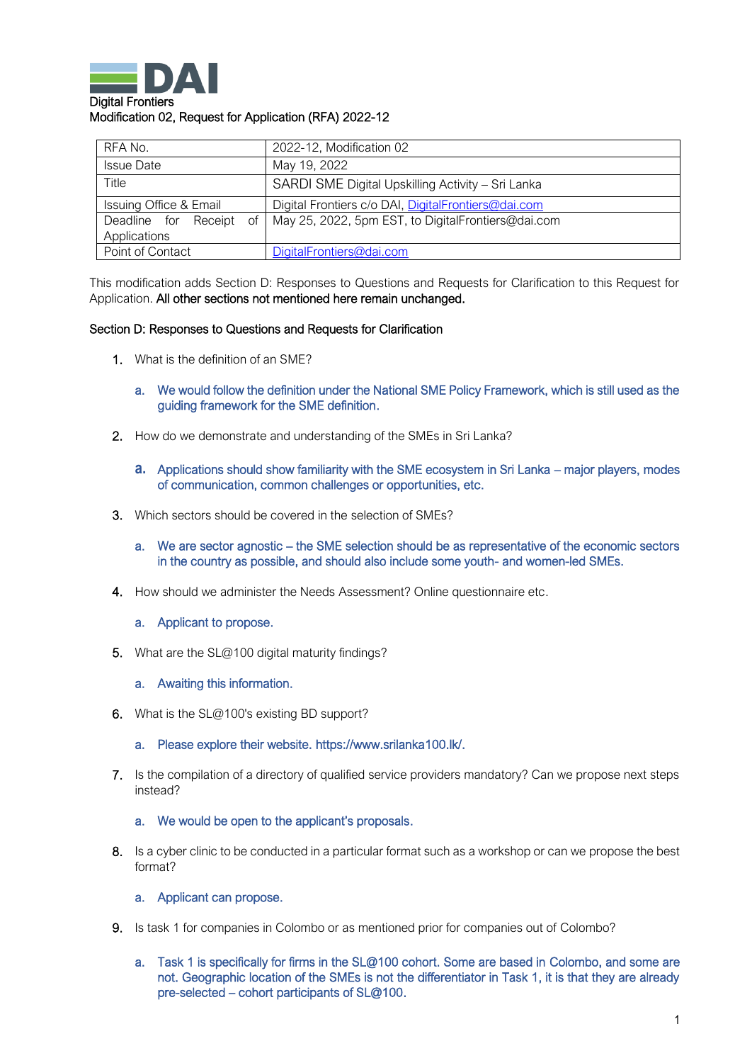

| RFA No.                                 | 2022-12, Modification 02                            |
|-----------------------------------------|-----------------------------------------------------|
| <b>Issue Date</b>                       | May 19, 2022                                        |
| Title                                   | SARDI SME Digital Upskilling Activity - Sri Lanka   |
| <b>Issuing Office &amp; Email</b>       | Digital Frontiers c/o DAI, DigitalFrontiers@dai.com |
| Deadline for Receipt<br>of <sub>1</sub> | May 25, 2022, 5pm EST, to DigitalFrontiers@dai.com  |
| Applications                            |                                                     |
| Point of Contact                        | DigitalFrontiers@dai.com                            |

This modification adds Section D: Responses to Questions and Requests for Clarification to this Request for Application. All other sections not mentioned here remain unchanged.

## Section D: Responses to Questions and Requests for Clarification

- 1. What is the definition of an SME?
	- a. We would follow the definition under the National SME Policy Framework, which is still used as the guiding framework for the SME definition.
- 2. How do we demonstrate and understanding of the SMEs in Sri Lanka?
	- **a.** Applications should show familiarity with the SME ecosystem in Sri Lanka major players, modes of communication, common challenges or opportunities, etc.
- 3. Which sectors should be covered in the selection of SMEs?
	- a. We are sector agnostic the SME selection should be as representative of the economic sectors in the country as possible, and should also include some youth- and women-led SMEs.
- 4. How should we administer the Needs Assessment? Online questionnaire etc.
	- a. Applicant to propose.
- 5. What are the SL@100 digital maturity findings?
	- a. Awaiting this information.
- 6. What is the SL@100's existing BD support?
	- a. Please explore their website. [https://www.srilanka100.lk/.](https://www.srilanka100.lk/)
- 7. Is the compilation of a directory of qualified service providers mandatory? Can we propose next steps instead?
	- a. We would be open to the applicant's proposals.
- 8. Is a cyber clinic to be conducted in a particular format such as a workshop or can we propose the best format?
	- a. Applicant can propose.
- 9. Is task 1 for companies in Colombo or as mentioned prior for companies out of Colombo?
	- a. Task 1 is specifically for firms in the SL@100 cohort. Some are based in Colombo, and some are not. Geographic location of the SMEs is not the differentiator in Task 1, it is that they are already pre-selected – cohort participants of SL@100.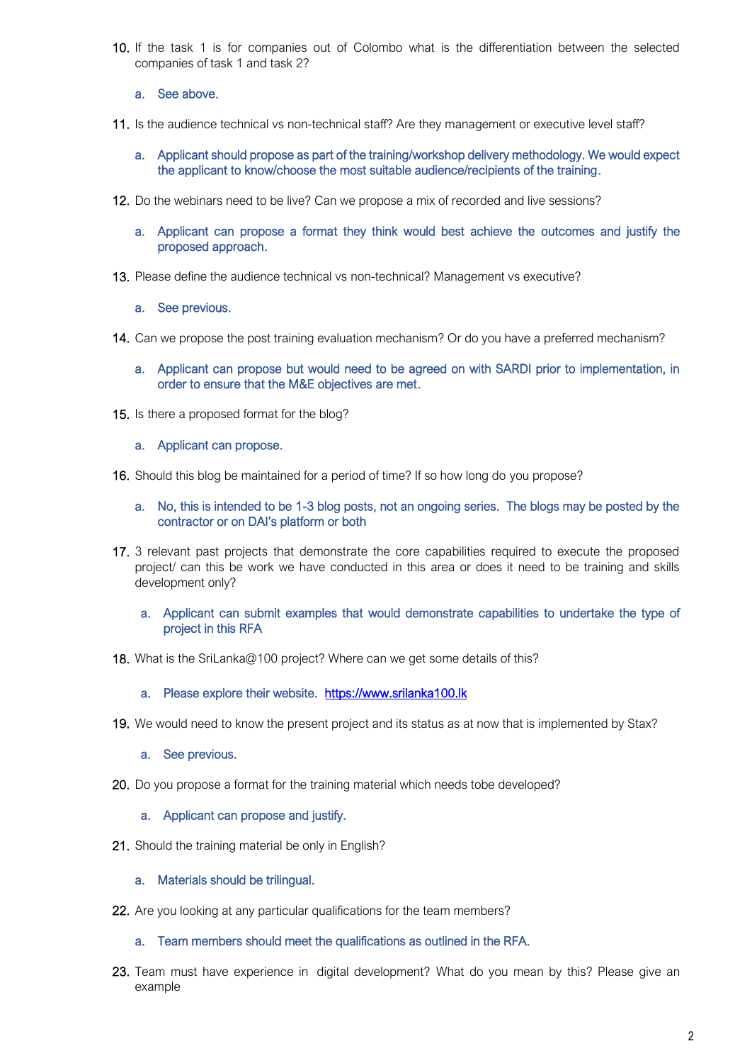- 10. If the task 1 is for companies out of Colombo what is the differentiation between the selected companies of task 1 and task 2?
	- a. See above.
- 11. Is the audience technical vs non-technical staff? Are they management or executive level staff?
	- a. Applicant should propose as part of the training/workshop delivery methodology. We would expect the applicant to know/choose the most suitable audience/recipients of the training.
- 12. Do the webinars need to be live? Can we propose a mix of recorded and live sessions?
	- a. Applicant can propose a format they think would best achieve the outcomes and justify the proposed approach.
- 13. Please define the audience technical vs non-technical? Management vs executive?
	- a. See previous.
- 14. Can we propose the post training evaluation mechanism? Or do you have a preferred mechanism?
	- a. Applicant can propose but would need to be agreed on with SARDI prior to implementation, in order to ensure that the M&E objectives are met.
- 15. Is there a proposed format for the blog?
	- a. Applicant can propose.
- 16. Should this blog be maintained for a period of time? If so how long do you propose?
	- a. No, this is intended to be 1-3 blog posts, not an ongoing series. The blogs may be posted by the contractor or on DAI's platform or both
- 17. 3 relevant past projects that demonstrate the core capabilities required to execute the proposed project/ can this be work we have conducted in this area or does it need to be training and skills development only?
	- a. Applicant can submit examples that would demonstrate capabilities to undertake the type of project in this RFA
- 18. What is the SriLanka@100 project? Where can we get some details of this?
	- a. Please explore their website. https://www.srilanka100.lk
- 19. We would need to know the present project and its status as at now that is implemented by Stax?
	- a. See previous.
- 20. Do you propose a format for the training material which needs tobe developed?
	- a. Applicant can propose and justify.
- 21. Should the training material be only in English?
	- a. Materials should be trilingual.
- 22. Are you looking at any particular qualifications for the team members?
	- a. Team members should meet the qualifications as outlined in the RFA.
- 23. Team must have experience in digital development? What do you mean by this? Please give an example